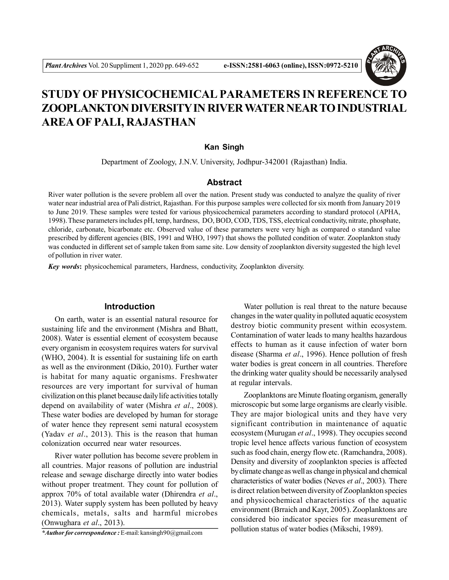

# **STUDY OF PHYSICOCHEMICAL PARAMETERS IN REFERENCE TO ZOOPLANKTON DIVERSITY IN RIVER WATER NEAR TO INDUSTRIAL AREA OF PALI, RAJASTHAN**

# **Kan Singh**

Department of Zoology, J.N.V. University, Jodhpur-342001 (Rajasthan) India.

## **Abstract**

River water pollution is the severe problem all over the nation. Present study was conducted to analyze the quality of river water near industrial area of Pali district, Rajasthan. For this purpose samples were collected for six month from January 2019 to June 2019. These samples were tested for various physicochemical parameters according to standard protocol (APHA, 1998). These parameters includes pH, temp, hardness, DO, BOD, COD, TDS, TSS, electrical conductivity, nitrate, phosphate, chloride, carbonate, bicarbonate etc. Observed value of these parameters were very high as compared o standard value prescribed by different agencies (BIS, 1991 and WHO, 1997) that shows the polluted condition of water. Zooplankton study was conducted in different set of sample taken from same site. Low density of zooplankton diversity suggested the high level of pollution in river water.

*Key words***:** physicochemical parameters, Hardness, conductivity, Zooplankton diversity.

## **Introduction**

On earth, water is an essential natural resource for sustaining life and the environment (Mishra and Bhatt, 2008). Water is essential element of ecosystem because every organism in ecosystem requires waters for survival (WHO, 2004). It is essential for sustaining life on earth as well as the environment (Dikio, 2010). Further water is habitat for many aquatic organisms. Freshwater resources are very important for survival of human civilization on this planet because daily life activities totally depend on availability of water (Mishra *et al*., 2008). These water bodies are developed by human for storage of water hence they represent semi natural ecosystem (Yadav *et al*., 2013). This is the reason that human colonization occurred near water resources.

River water pollution has become severe problem in all countries. Major reasons of pollution are industrial release and sewage discharge directly into water bodies without proper treatment. They count for pollution of approx 70% of total available water (Dhirendra *et al*., 2013). Water supply system has been polluted by heavy chemicals, metals, salts and harmful microbes (Onwughara *et al*., 2013).

*\*Author for correspondence :* E-mail: kansingh90@gmail.com

Water pollution is real threat to the nature because changes in the water quality in polluted aquatic ecosystem destroy biotic community present within ecosystem. Contamination of water leads to many healths hazardous effects to human as it cause infection of water born disease (Sharma *et al*., 1996). Hence pollution of fresh water bodies is great concern in all countries. Therefore the drinking water quality should be necessarily analysed at regular intervals.

Zooplanktons are Minute floating organism, generally microscopic but some large organisms are clearly visible. They are major biological units and they have very significant contribution in maintenance of aquatic ecosystem (Murugan *et al*., 1998). They occupies second tropic level hence affects various function of ecosystem such as food chain, energy flow etc. (Ramchandra, 2008). Density and diversity of zooplankton species is affected by climate change as well as change in physical and chemical characteristics of water bodies (Neves *et al*., 2003). There is direct relation between diversity of Zooplankton species and physicochemical characteristics of the aquatic environment (Brraich and Kayr, 2005). Zooplanktons are considered bio indicator species for measurement of pollution status of water bodies (Mikschi, 1989).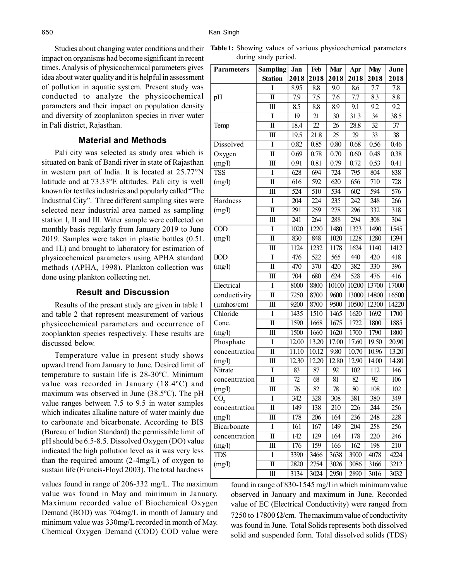Studies about changing water conditions and their impact on organisms had become significant in recent times. Analysis of physicochemical parameters gives idea about water quality and it is helpful in assessment of pollution in aquatic system. Present study was conducted to analyze the physicochemical parameters and their impact on population density and diversity of zooplankton species in river water in Pali district, Rajasthan.

#### **Material and Methods**

Pali city was selected as study area which is situated on bank of Bandi river in state of Rajasthan in western part of India. It is located at 25.77°N latitude and at 73.33ºE altitudes. Pali city is well known for textiles industries and popularly called "The Industrial City". Three different sampling sites were selected near industrial area named as sampling station I, II and III. Water sample were collected on monthly basis regularly from January 2019 to June 2019. Samples were taken in plastic bottles (0.5L and 1L) and brought to laboratory for estimation of physicochemical parameters using APHA standard methods (APHA, 1998). Plankton collection was done using plankton collecting net.

#### **Result and Discussion**

Results of the present study are given in table 1 and table 2 that represent measurement of various physicochemical parameters and occurrence of zooplankton species respectively. These results are discussed below.

Temperature value in present study shows upward trend from January to June. Desired limit of temperature to sustain life is 28-30ºC. Minimum value was recorded in January (18.4ºC) and maximum was observed in June (38.5ºC). The pH value ranges between 7.5 to 9.5 in water samples which indicates alkaline nature of water mainly due to carbonate and bicarbonate. According to BIS (Bureau of Indian Standard) the permissible limit of pH should be 6.5-8.5. Dissolved Oxygen (DO) value indicated the high pollution level as it was very less than the required amount (2-4mg/L) of oxygen to sustain life (Francis-Floyd 2003). The total hardness

values found in range of 206-332 mg/L. The maximum value was found in May and minimum in January. Maximum recorded value of Biochemical Oxygen Demand (BOD) was 704mg/L in month of January and minimum value was 330mg/L recorded in month of May. Chemical Oxygen Demand (COD) COD value were

**Table 1:** Showing values of various physicochemical parameters during study period.

| <b>Parameters</b>  | <b>Sampling</b>         | Jan              | Feb               | Mar              | Apr             | <b>May</b>       | June            |
|--------------------|-------------------------|------------------|-------------------|------------------|-----------------|------------------|-----------------|
|                    | <b>Station</b>          | 2018             | 2018              | 2018             | 2018            | 2018             | 2018            |
|                    | I                       | 8.95             | 8.8               | 9.0              | 8.6             | 7.7              | 7.8             |
| pH                 | $\mathbf I$             | 7.9              | 7.5               | 7.6              | 7.7             | 8.3              | 8.8             |
|                    | $\overline{\mathbf{H}}$ | $\overline{8.5}$ | 8.8               | 8.9              | 9.1             | 92               | 92              |
|                    | I                       | $\overline{19}$  | 21                | $\overline{30}$  | 31.3            | 34               | 38.5            |
| Temp               | $\overline{\rm II}$     | 18.4             | 22                | $\overline{26}$  | 28.8            | $\overline{32}$  | 37              |
|                    | $\overline{\rm III}$    | 19.5             | $\overline{21.8}$ | $\overline{25}$  | 29              | $\overline{33}$  | $\overline{38}$ |
| Dissolved          | I                       | 0.82             | 0.85              | 0.80             | 0.68            | 0.56             | 0.46            |
| Oxygen             | $\mathbf I$             | 0.69             | 0.78              | 0.70             | 0.60            | 0.48             | 0.38            |
| (mg/l)             | Ш                       | 0.91             | 0.81              | 0.79             | 0.72            | 0.53             | 0.41            |
| <b>TSS</b>         | I                       | 628              | 694               | 724              | 795             | 804              | 838             |
| (mg/l)             | $\overline{\rm II}$     | 616              | 592               | 620              | 656             | 710              | 728             |
|                    | III                     | 524              | 510               | $\overline{534}$ | 602             | 594              | 576             |
| Hardness           | Ī                       | 204              | 224               | 235              | 242             | 248              | 266             |
| (mg/l)             | $\overline{\rm II}$     | 291              | 259               | 278              | 296             | 332              | 318             |
|                    | Ш                       | 241              | 264               | 288              | 294             | 308              | 304             |
| COD                | I                       | 1020             | 1220              | 1480             | 1323            | 1490             | 1545            |
| (mg/l)             | $\overline{\mathbf{u}}$ | 830              | 848               | 1020             | 1228            | 1280             | 1394            |
|                    | $\overline{\mathbf{H}}$ | 1124             | 1232              | 1178             | 1624            | 1140             | 1412            |
| <b>BOD</b>         | Ī                       | 476              | 522               | 565              | 440             | 420              | 418             |
| (mg/l)             | $\overline{\rm II}$     | 470              | 370               | 420              | 382             | 330              | 396             |
|                    | $\overline{\mathbf{H}}$ | 704              | 680               | 624              | 528             | 476              | 416             |
| Electrical         | I                       | 8000             | 8800              | 10100            | 10200           | 13700            | 17000           |
| conductivity       | $\mathbf I$             | 7250             | 8700              | 9600             | 13000           | 14800            | 16500           |
| $(\mu$ mhos/cm $)$ | Ш                       | 9200             | 8700              | 9500             | 10500           | 12300            | 14220           |
| Chloride           | Ī                       | 1435             | 1510              | 1465             | 1620            | 1692             | 1700            |
| Conc.              | $\overline{\rm II}$     | 1590             | 1668              | 1675             | 1722            | 1800             | 1885            |
| (mg/l)             | III                     | 1500             | 1660              | 1620             | 1700            | 1790             | 1800            |
| Phosphate          | I                       | 12.00            | 13.20             | 17.00            | 17.60           | 19.50            | 20.90           |
| concentration      | $\overline{\rm II}$     | 11.10            | 10.12             | 9.80             | 10.70           | 10.96            | 13.20           |
| (mg/l)             | Ш                       | 12.30            | 12.20             | 12.80            | 12.90           | 14.00            | 14.80           |
| Nitrate            | I                       | 83               | 87                | 92               | 102             | 112              | 146             |
| concentration      | $\mathbf I$             | 72               | 68                | 81               | 82              | 92               | 106             |
| (mg/l)             | $\overline{\mathbf{H}}$ | $\overline{76}$  | $\overline{82}$   | $\overline{78}$  | $\overline{80}$ | $\overline{108}$ | 102             |
| CO <sub>2</sub>    | I                       | 342              | 328               | 308              | 381             | 380              | 349             |
| concentration      | $\rm II$                | 149              | 138               | 210              | 226             | 244              | 256             |
| (mg/l)             | Ш                       | 178              | 206               | 164              | 236             | 248              | 228             |
| Bicarbonate        | $\bf I$                 | 161              | 167               | 149              | 204             | 258              | 256             |
| concentration      | Π                       | 142              | 129               | 164              | 178             | 220              | 246             |
| (mg/l)             | $\rm III$               | 176              | 159               | 166              | 162             | 198              | 210             |
| <b>TDS</b>         | I                       | 3390             | 3466              | 3638             | 3900            | 4078             | 4224            |
| (mg/l)             | $\rm II$                | 2820             | 2754              | 3026             | 3086            | 3166             | 3212            |
|                    | Ш                       | 3134             | 3024              | 2950             | 2890            | 3016             | 3032            |

found in range of 830-1545 mg/l in which minimum value observed in January and maximum in June. Recorded value of EC (Electrical Conductivity) were ranged from 7250 to 17800  $\Omega$ /cm. The maximum value of conductivity was found in June. Total Solids represents both dissolved solid and suspended form. Total dissolved solids (TDS)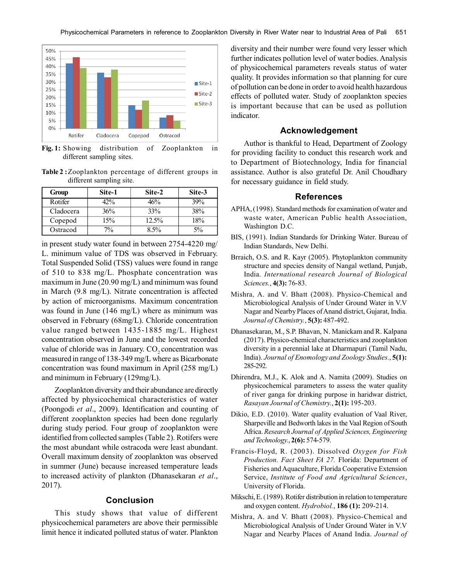

**Fig. 1:** Showing distribution of Zooplankton in different sampling sites.

**Table 2 :**Zooplankton percentage of different groups in different sampling site.

| Group     | Site-1 | Site-2   | Site-3 |
|-----------|--------|----------|--------|
| Rotifer   | 42%    | 46%      | 39%    |
| Cladocera | 36%    | 33%      | 38%    |
| Copepod   | 15%    | $12.5\%$ | 18%    |
| Ostracod  | 7%     | 8.5%     | 5%     |

in present study water found in between 2754-4220 mg/ L. minimum value of TDS was observed in February. Total Suspended Solid (TSS) values were found in range of 510 to 838 mg/L. Phosphate concentration was maximum in June (20.90 mg/L) and minimum was found in March (9.8 mg/L). Nitrate concentration is affected by action of microorganisms. Maximum concentration was found in June (146 mg/L) where as minimum was observed in February (68mg/L). Chloride concentration value ranged between 1435-1885 mg/L. Highest concentration observed in June and the lowest recorded value of chloride was in January.  $CO<sub>2</sub>$  concentration was measured in range of 138-349 mg/L where as Bicarbonate concentration was found maximum in April (258 mg/L) and minimum in February (129mg/L).

Zooplankton diversity and their abundance are directly affected by physicochemical characteristics of water (Poongodi *et al*., 2009). Identification and counting of different zooplankton species had been done regularly during study period. Four group of zooplankton were identified from collected samples (Table 2). Rotifers were the most abundant while ostracoda were least abundant. Overall maximum density of zooplankton was observed in summer (June) because increased temperature leads to increased activity of plankton (Dhanasekaran *et al*., 2017).

# **Conclusion**

This study shows that value of different physicochemical parameters are above their permissible limit hence it indicated polluted status of water. Plankton diversity and their number were found very lesser which further indicates pollution level of water bodies. Analysis of physicochemical parameters reveals status of water quality. It provides information so that planning for cure of pollution can be done in order to avoid health hazardous effects of polluted water. Study of zooplankton species is important because that can be used as pollution indicator.

#### **Acknowledgement**

Author is thankful to Head, Department of Zoology for providing facility to conduct this research work and to Department of Biotechnology, India for financial assistance. Author is also grateful Dr. Anil Choudhary for necessary guidance in field study.

## **References**

- APHA, (1998). Standard methods for examination of water and waste water, American Public health Association, Washington D.C.
- BIS, (1991). Indian Standards for Drinking Water. Bureau of Indian Standards, New Delhi.
- Brraich, O.S. and R. Kayr (2005). Phytoplankton community structure and species density of Nangal wetland, Punjab, India. *International research Journal of Biological Sciences.*, **4(3):** 76-83.
- Mishra, A. and V. Bhatt (2008). Physico-Chemical and Microbiological Analysis of Under Ground Water in V.V Nagar and Nearby Places of Anand district, Gujarat, India. *Journal of Chemistry.*, **5(3):** 487-492.
- Dhanasekaran, M., S.P. Bhavan, N. Manickam and R. Kalpana (2017). Physico-chemical characteristics and zooplankton diversity in a perennial lake at Dharmapuri (Tamil Nadu, India). *Journal of Enomology and Zoology Studies.*, **5(1):** 285-292.
- Dhirendra, M.J., K. Alok and A. Namita (2009). Studies on physicochemical parameters to assess the water quality of river ganga for drinking purpose in haridwar district, *Rasayan Journal of Chemistry.*, **2(1):** 195-203.
- Dikio, E.D. (2010). Water quality evaluation of Vaal River, Sharpeville and Bedworth lakes in the Vaal Region of South Africa. *Research Journal of Applied Sciences, Engineering and Technology.*, **2(6):** 574-579.
- Francis-Floyd, R. (2003). Dissolved *Oxygen for Fish Production. Fact Sheet FA 27.* Florida: Department of Fisheries and Aquaculture, Florida Cooperative Extension Service, *Institute of Food and Agricultural Sciences*, University of Florida.
- Mikschi, E. (1989). Rotifer distribution in relation to temperature and oxygen content. *Hydrobiol.*, **186 (1):** 209-214.
- Mishra, A. and V. Bhatt (2008). Physico-Chemical and Microbiological Analysis of Under Ground Water in V.V Nagar and Nearby Places of Anand India. *Journal of*